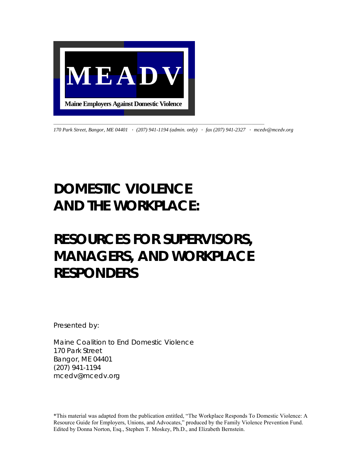

*170 Park Street, Bangor, ME 04401* · *(207) 941-1194 (admin. only)* · *fax (207) 941-2327* · *mcedv@mcedv.org* 

## *DOMESTIC VIOLENCE AND THE WORKPLACE:*

### *RESOURCES FOR SUPERVISORS, MANAGERS, AND WORKPLACE RESPONDERS*

*Presented by:* 

*Maine Coalition to End Domestic Violence 170 Park Street Bangor, ME 04401 (207) 941-1194 mcedv@mcedv.org* 

\*This material was adapted from the publication entitled, "The Workplace Responds To Domestic Violence: A Resource Guide for Employers, Unions, and Advocates," produced by the Family Violence Prevention Fund. Edited by Donna Norton, Esq., Stephen T. Moskey, Ph.D., and Elizabeth Bernstein.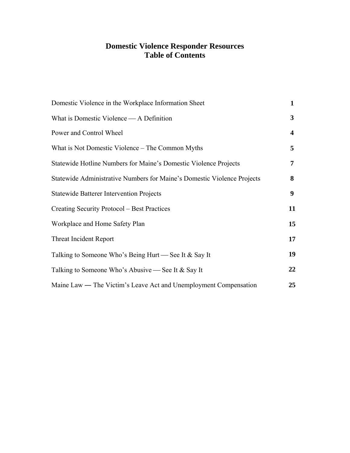### **Domestic Violence Responder Resources Table of Contents**

| Domestic Violence in the Workplace Information Sheet                    | $\mathbf{1}$   |
|-------------------------------------------------------------------------|----------------|
| What is Domestic Violence — A Definition                                | 3              |
| Power and Control Wheel                                                 | 4              |
| What is Not Domestic Violence – The Common Myths                        | 5              |
| Statewide Hotline Numbers for Maine's Domestic Violence Projects        | $\overline{7}$ |
| Statewide Administrative Numbers for Maine's Domestic Violence Projects | 8              |
| <b>Statewide Batterer Intervention Projects</b>                         |                |
| Creating Security Protocol – Best Practices                             | 11             |
| Workplace and Home Safety Plan                                          |                |
| <b>Threat Incident Report</b>                                           |                |
| Talking to Someone Who's Being Hurt — See It & Say It                   |                |
| Talking to Someone Who's Abusive — See It & Say It                      |                |
| Maine Law — The Victim's Leave Act and Unemployment Compensation        | 25             |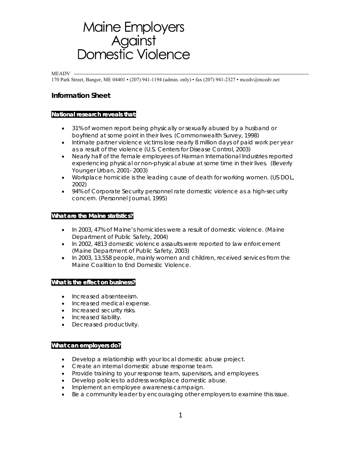# <span id="page-4-0"></span>Maine Employers<br>Against<br>Domestic Violence

#### MEADV -

170 Park Street, Bangor, ME 04401 • (207) 941-1194 (admin. only) • fax (207) 941-2327 • mcedv@mcedv.net

### **Information Sheet**

### **National research reveals that:**

- 31% of women report being physically or sexually abused by a husband or boyfriend at some point in their lives. (Commonwealth Survey, 1998)
- Intimate partner violence victims lose nearly 8 million days of paid work per year as a result of the violence (U.S. Centers for Disease Control, 2003)
- Nearly half of the female employees of Harman International Industries reported experiencing physical or non-physical abuse at some time in their lives. (Beverly Younger Urban, 2001- 2003)
- Workplace homicide is the leading cause of death for working women. (US DOL, 2002)
- 94% of Corporate Security personnel rate domestic violence as a high-security concern. (Personnel Journal, 1995)

### **What are the Maine statistics?**

- In 2003, 47% of Maine's homicides were a result of domestic violence. (Maine Department of Public Safety, 2004)
- In 2002, 4813 domestic violence assaults were reported to law enforcement (Maine Department of Public Safety, 2003)
- In 2003, 13,558 people, mainly women and children, received services from the Maine Coalition to End Domestic Violence.

### **What is the effect on business?**

- Increased absenteeism.
- Increased medical expense.
- Increased security risks.
- Increased liability.
- Decreased productivity.

#### **What can employers do?**

- Develop a relationship with your local domestic abuse project.
- Create an internal domestic abuse response team.
- Provide training to your response team, supervisors, and employees.
- Develop policies to address workplace domestic abuse.
- Implement an employee awareness campaign.
- Be a community leader by encouraging other employers to examine this issue.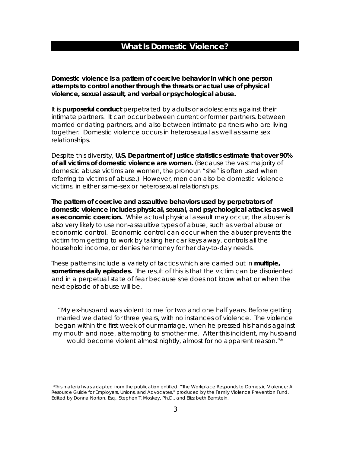### **What Is Domestic Violence?**

<span id="page-6-0"></span>**Domestic violence is a pattern of coercive behavior in which one person attempts to control another through the threats or actual use of physical violence, sexual assault, and verbal or psychological abuse.** 

It is **purposeful conduct** perpetrated by adults or adolescents against their intimate partners. It can occur between current or former partners, between married or dating partners, and also between intimate partners who are living together. Domestic violence occurs in heterosexual as well as same sex relationships.

Despite this diversity, **U.S. Department of Justice statistics estimate that over 90% of all victims of domestic violence are women.** (Because the vast majority of domestic abuse victims are women, the pronoun "she" is often used when referring to victims of abuse.) However, men can also be domestic violence victims, in either same-sex or heterosexual relationships.

**The pattern of coercive and assaultive behaviors used by perpetrators of domestic violence includes physical, sexual, and psychological attacks as well as economic coercion.** While actual physical assault may occur, the abuser is also very likely to use non-assaultive types of abuse, such as verbal abuse or economic control. Economic control can occur when the abuser prevents the victim from getting to work by taking her car keys away, controls all the household income, or denies her money for her day-to-day needs.

These patterns include a variety of tactics which are carried out in **multiple, sometimes daily episodes.** The result of this is that the victim can be disoriented and in a perpetual state of fear because she does not know what or when the next episode of abuse will be.

"My ex-husband was violent to me for two and one half years. Before getting married we dated for three years, with no instances of violence. The violence began within the first week of our marriage, when he pressed his hands against my mouth and nose, attempting to smother me. After this incident, my husband would become violent almost nightly, almost for no apparent reason."\*

 *<sup>\*</sup>This material was adapted from the publication entitled, "The Workplace Responds to Domestic Violence: A Resource Guide for Employers, Unions, and Advocates," produced by the Family Violence Prevention Fund. Edited by Donna Norton, Esq., Stephen T. Moskey, Ph.D., and Elizabeth Bernstein.*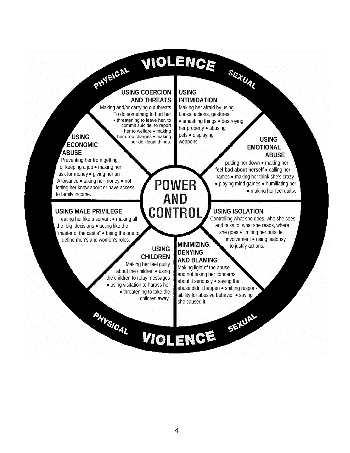# VIOLENCE

# <span id="page-7-0"></span>**PHYSICAL USING COERCION AND THREATS**

Making and/or carrying out threats To do something to hurt her • threatening to leave her, to commit suicide, to report her to welfare • making her drop charges • making her do illegal things.

### **USING ECONOMIC ABUSE**

 Preventing her from getting or keeping a job • making her ask for money • giving her an Allowance • taking her money • not letting her know about or have access to family income.

### **USING MALE PRIVILEGE**

 Treating her like a servant • making all the big decisions • acting like the "master of the castle" • being the one to define men's and women's roles.

**PHYSICAL** 

### **USING INTIMIDATION**

Making her afraid by using Looks, actions, gestures • smashing things • destroying her property • abusing pets • displaying weapons

### **USING EMOTIONAL ABUSE**

 putting her down • making her  **feel bad about herself** • calling her names • making her think she's crazy • playing mind games • humiliating her • making her feel quilty.

### **USING ISOLATION**

SEXUAL

Controlling what she does, who she sees and talks to, what she reads, where she goes • limiting her outside involvement • using jealousy<br>
to justify actions **USING MINIMIZING**, to justify actions.

### **CHILDREN**

Making her feel guilty about the children • using the children to relay messages • using visitation to harass her • threatening to take the children away.

## **DENYING**

**POWER** 

**AND** 

CONTROL

**AND BLAMING** Making light of the abuse and not taking her concerns about it seriously • saying the abuse didn't happen • shifting responsibility for abusive behavior • saying she caused it.

# VIOLENCE SEXUAL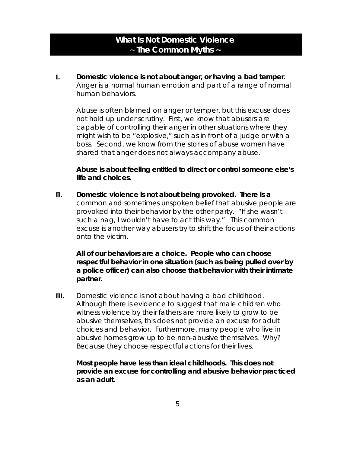### **What Is Not Domestic Violence** ~ **The Common Myths ~**

<span id="page-8-0"></span>**I. Domestic violence is not about anger, or having a bad temper**. Anger is a normal human emotion and part of a range of normal human behaviors.

Abuse is often *blamed* on anger or temper, but this excuse does not hold up under scrutiny. First, we know that abusers are capable of controlling their anger in other situations where they might wish to be "explosive," such as in front of a judge or with a boss. Second, we know from the stories of abuse women have shared that anger does not always accompany abuse.

### *Abuse is about feeling entitled to direct or control someone else's life and choices.*

**II. Domestic violence is not about being provoked. There is a** common and sometimes unspoken belief that abusive people are provoked into their behavior by the other party. *"If she wasn't such a nag, I wouldn't have to act this way."* This common excuse is another way abusers try to shift the focus of their actions onto the victim.

### *All of our behaviors are a choice. People who can choose respectful behavior in one situation (such as being pulled over by a police officer) can also choose that behavior with their intimate partner.*

**III.** Domestic violence is not about having a bad childhood. Although there is evidence to suggest that male children who witness violence by their fathers are more likely to grow to be abusive themselves, this does not provide an excuse for adult choices and behavior. Furthermore, many people who live in abusive homes grow up to be non-abusive themselves. Why? Because they choose respectful actions for their lives.

### *Most people have less than ideal childhoods. This does not provide an excuse for controlling and abusive behavior practiced as an adult.*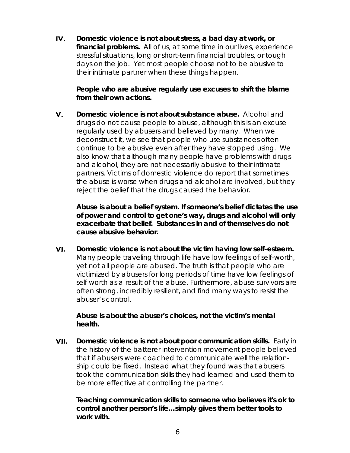**IV. Domestic violence is not about stress, a bad day at work, or financial problems.** All of us, at some time in our lives, experience stressful situations, long or short-term financial troubles, or tough days on the job. Yet most people choose not to be abusive to their intimate partner when these things happen.

### *People who are abusive regularly use excuses to shift the blame from their own actions.*

**V. Domestic violence is not about substance abuse.** Alcohol and drugs do not cause people to abuse, although this is an excuse regularly used by abusers and believed by many. When we deconstruct it, we see that people who use substances often continue to be abusive even after they have stopped using. We also know that although many people have problems with drugs and alcohol, they are not necessarily abusive to their intimate partners. Victims of domestic violence do report that sometimes the abuse is worse when drugs and alcohol are involved, but they reject the belief that the drugs caused the behavior.

*Abuse is about a belief system. If someone's belief dictates the use of power and control to get one's way, drugs and alcohol will only exacerbate that belief. Substances in and of themselves do not cause abusive behavior.*

**VI. Domestic violence is not about the victim having low self-esteem.** Many people traveling through life have low feelings of self-worth, yet not all people are abused. The truth is that people who are victimized by abusers for long periods of time have low feelings of self worth *as a result of the abuse*. Furthermore, abuse survivors are often strong, incredibly resilient, and find many ways to resist the abuser's control.

### *Abuse is about the abuser's choices, not the victim's mental health.*

**VII. Domestic violence is not about poor communication skills.** Early in the history of the batterer intervention movement people believed that if abusers were coached to communicate well the relationship could be fixed. Instead what they found was that abusers took the communication skills they had learned and used them to be more effective at controlling the partner.

### *Teaching communication skills to someone who believes it's ok to control another person's life…simply gives them better tools to work with.*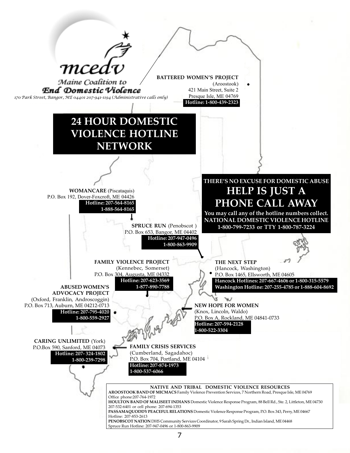<span id="page-10-0"></span>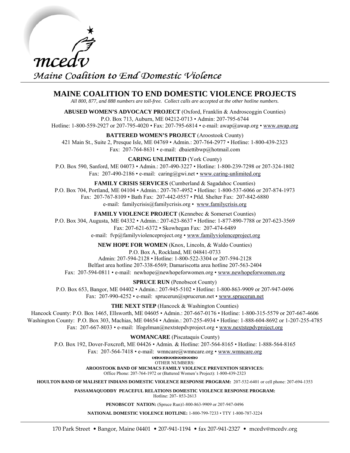<span id="page-11-0"></span>

### **MAINE COALITION TO END DOMESTIC VIOLENCE PROJECTS**

*All 800, 877, and 888 numbers are toll-free. Collect calls are accepted at the other hotline numbers.* 

**ABUSED WOMEN'S ADVOCACY PROJECT** (Oxford, Franklin & Androscoggin Counties) P.O. Box 713, Auburn, ME 04212-0713 • Admin: 207-795-6744 Hotline: 1-800-559-2927 or 207-795-4020 • Fax: 207-795-6814 • e-mail: awap@awap.org • <www.awap.org>

**BATTERED WOMEN'S PROJECT** (Aroostook County)

421 Main St., Suite 2, Presque Isle, ME 04769 • Admin.: 207-764-2977 • Hotline: 1-800-439-2323 Fax: 207-764-8631 • e-mail: dbaiettibwp@hotmail.com

**CARING UNLIMITED** (York County)

P.O. Box 590, Sanford, ME 04073 • Admin.: 207-490-3227 • Hotline: 1-800-239-7298 or 207-324-1802 Fax: 207-490-2186 • e-mail: caring@gwi.net • <www.caring-unlimited.org>

**FAMILY CRISIS SERVICES** (Cumberland & Sagadahoc Counties) P.O. Box 704, Portland, ME 04104 • Admin.: 207-767-4952 • Hotline: 1-800-537-6066 or 207-874-1973 Fax: 207-767-8109 • Bath Fax: 207-442-0557 • Ptld. Shelter Fax: 207-842-6880 e-mail: familycrisis@familycrisis.org • <www.familycrisis.org>

**FAMILY VIOLENCE PROJECT** (Kennebec & Somerset Counties) P.O. Box 304, Augusta, ME 04332 • Admin.: 207-623-8637 • Hotline: 1-877-890-7788 or 207-623-3569 Fax: 207-621-6372 • Skowhegan Fax: 207-474-6489 e-mail: fvp@familyviolenceproject.org •<www.familyviolenceproject.org>

**NEW HOPE FOR WOMEN** (Knox, Lincoln, & Waldo Counties) P.O. Box A, Rockland, ME 04841-0733 Admin: 207-594-2128 • Hotline: 1-800-522-3304 or 207-594-2128 Belfast area hotline 207-338-6569; Damariscotta area hotline 207-563-2404

Fax: 207-594-0811 • e-mail: newhope@newhopeforwomen.org • <www.newhopeforwomen.org>

**SPRUCE RUN** (Penobscot County)

P.O. Box 653, Bangor, ME 04402 • Admin.: 207-945-5102 • Hotline: 1-800-863-9909 or 207-947-0496 Fax: 207-990-4252 • e-mail: sprucerun@sprucerun.net •<www.sprucerun.net>

**THE NEXT STEP** (Hancock & Washington Counties)

Hancock County: P.O. Box 1465, Ellsworth, ME 04605 • Admin.: 207-667-0176 • Hotline: 1-800-315-5579 or 207-667-4606 Washington County: P.O. Box 303, Machias, ME 04654 • Admin.: 207-255-4934 • Hotline: 1-888-604-8692 or 1-207-255-4785 Fax: 207-667-8033 • e-mail: lfogelman@nextstepdvproject.org • <www.nextstepdvproject.org>

**WOMANCARE** (Piscataquis County)

P.O. Box 192, Dover-Foxcroft, ME 04426 • Admin. & Hotline: 207-564-8165 • Hotline: 1-888-564-8165

Fax: 207-564-7418 • e-mail: wmncare@wmncare.org • <www.wmncare.org>

DEDEDEDEDE

OTHER NUMBERS: **AROOSTOOK BAND OF MICMACS FAMILY VIOLENCE PREVENTION SERVICES:**

Office Phone: 207-764-1972 or (Battered Women's Project): 1-800-439-2323

**HOULTON BAND OF MALISEET INDIANS DOMESTIC VIOLENCE RESPONSE PROGRAM:** 207-532-6401 or cell phone: 207-694-1353

**PASSAMAQUODDY PEACEFUL RELATIONS DOMESTIC VIOLENCE RESPONSE PROGRAM:** Hotline: 207- 853-2613

**PENOBSCOT NATION:** (Spruce Run)1-800-863-9909 or 207-947-0496

**NATIONAL DOMESTIC VIOLENCE HOTLINE:** 1-800-799-7233 • TTY 1-800-787-3224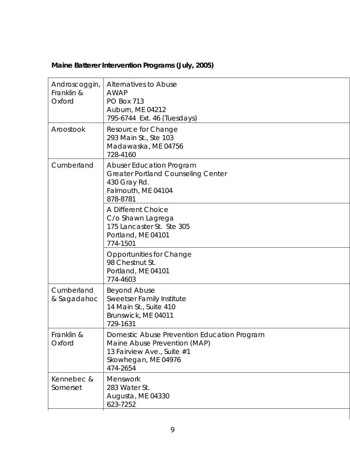| Androscoggin,<br>Franklin &<br>Oxford | Alternatives to Abuse<br><b>AWAP</b><br><b>PO Box 713</b><br>Auburn, ME 04212<br>795-6744 Ext. 46 (Tuesdays)                                 |
|---------------------------------------|----------------------------------------------------------------------------------------------------------------------------------------------|
| Aroostook                             | Resource for Change<br>293 Main St., Ste 103<br>Madawaska, ME 04756<br>728-4160                                                              |
| Cumberland                            | <b>Abuser Education Program</b><br><b>Greater Portland Counseling Center</b><br>430 Gray Rd.<br>Falmouth, ME 04104<br>878-8781               |
|                                       | A Different Choice<br>C/o Shawn Lagrega<br>175 Lancaster St. Ste 305<br>Portland, ME 04101<br>774-1501                                       |
|                                       | <b>Opportunities for Change</b><br>98 Chestnut St.<br>Portland, ME 04101<br>774-4603                                                         |
| Cumberland<br>& Sagadahoc             | <b>Beyond Abuse</b><br>Sweetser Family Institute<br>14 Main St., Suite 410<br>Brunswick, ME 04011<br>729-1631                                |
| Franklin &<br>Oxford                  | Domestic Abuse Prevention Education Program<br>Maine Abuse Prevention (MAP)<br>13 Fairview Ave., Suite #1<br>Skowhegan, ME 04976<br>474-2654 |
| Kennebec &<br>Somerset                | Menswork<br>283 Water St.<br>Augusta, ME 04330<br>623-7252                                                                                   |

### <span id="page-12-0"></span>**Maine Batterer Intervention Programs (July, 2005)**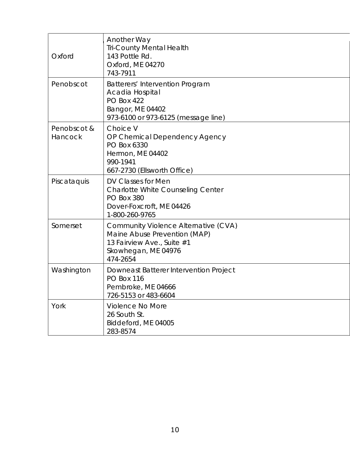| Oxford                 | <b>Another Way</b><br><b>Tri-County Mental Health</b><br>143 Pottle Rd.<br>Oxford, ME 04270<br>743-7911                               |
|------------------------|---------------------------------------------------------------------------------------------------------------------------------------|
| Penobscot              | Batterers' Intervention Program<br>Acadia Hospital<br><b>PO Box 422</b><br>Bangor, ME 04402<br>973-6100 or 973-6125 (message line)    |
| Penobscot &<br>Hancock | Choice V<br>OP Chemical Dependency Agency<br>PO Box 6330<br>Hermon, ME 04402<br>990-1941<br>667-2730 (Ellsworth Office)               |
| Piscataquis            | DV Classes for Men<br><b>Charlotte White Counseling Center</b><br><b>PO Box 380</b><br>Dover-Foxcroft, ME 04426<br>1-800-260-9765     |
| Somerset               | Community Violence Alternative (CVA)<br>Maine Abuse Prevention (MAP)<br>13 Fairview Ave., Suite #1<br>Skowhegan, ME 04976<br>474-2654 |
| Washington             | Downeast Batterer Intervention Project<br><b>PO Box 116</b><br>Pembroke, ME 04666<br>726-5153 or 483-6604                             |
| York                   | Violence No More<br>26 South St.<br>Biddeford, ME 04005<br>283-8574                                                                   |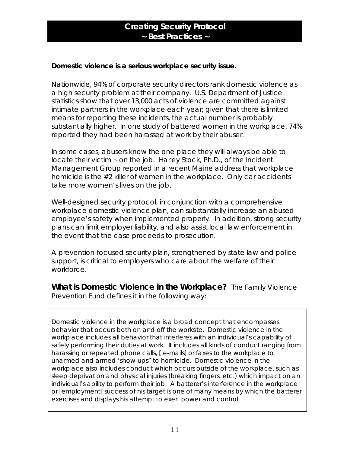### **Creating Security Protocol ~ Best Practices ~**

### <span id="page-14-0"></span>**Domestic violence is a serious workplace security issue.**

Nationwide, 94% of corporate security directors rank domestic violence as a high security problem at their company. U.S. Department of Justice statistics show that over 13,000 acts of violence are committed against intimate partners in the workplace each year; given that there is limited means for reporting these incidents, the actual number is probably substantially higher. In one study of battered women in the workplace, 74% reported they had been harassed at work by their abuser.

In some cases, abusers know the one place they will always be able to locate their victim ~ on the job. Harley Stock, Ph.D., of the Incident Management Group reported in a recent Maine address that workplace homicide is the #2 killer of women in the workplace. Only car accidents take more women's lives on the job.

Well-designed security protocol, in conjunction with a comprehensive workplace domestic violence plan, can substantially increase an abused employee's safety when implemented properly. In addition, strong security plans can limit employer liability, and also assist local law enforcement in the event that the case proceeds to prosecution.

A prevention-focused security plan, strengthened by state law and police support, is critical to employers who care about the welfare of their workforce.

**What is Domestic Violence in the Workplace?** The Family Violence Prevention Fund defines it in the following way:

Domestic violence in the workplace is a broad concept that encompasses behavior that occurs both on and off the worksite. Domestic violence in the workplace includes all behavior that interferes with an individual's capability of safely performing their duties at work. It includes all kinds of conduct ranging from harassing or repeated phone calls, [ e-mails] or faxes to the workplace to unarmed and armed 'show-ups" to homicide. Domestic violence in the workplace also includes conduct which occurs outside of the workplace, such as sleep deprivation and physical injuries (breaking fingers, etc.) which impact on an individual's ability to perform their job. A batterer's interference in the workplace or [employment] success of his target is one of many means by which the batterer exercises and displays his attempt to exert power and control.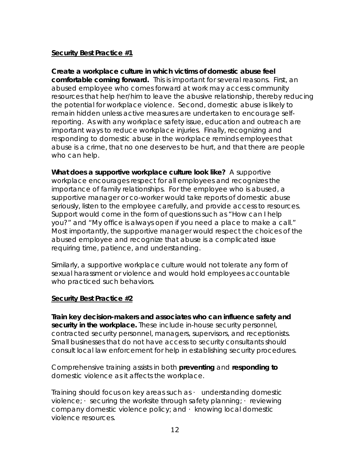### **Security Best Practice #1**

**Create a workplace culture in which victims of domestic abuse feel comfortable coming forward.** This is important for several reasons. First, an abused employee who comes forward at work may access community resources that help her/him to leave the abusive relationship, thereby reducing the potential for workplace violence. Second, domestic abuse is likely to remain hidden unless active measures are undertaken to encourage selfreporting. As with any workplace safety issue, education and outreach are important ways to reduce workplace injuries. Finally, recognizing and responding to domestic abuse in the workplace reminds employees that abuse is a crime, that no one deserves to be hurt, and that there are people who can help.

**What does a supportive workplace culture look like?** A supportive workplace encourages respect for all employees and recognizes the importance of family relationships. For the employee who is abused, a supportive manager or co-worker would take reports of domestic abuse seriously, listen to the employee carefully, and provide access to resources. Support would come in the form of questions such as "How can I help you?" and "My office is always open if you need a place to make a call." Most importantly, the supportive manager would respect the choices of the abused employee and recognize that abuse is a complicated issue requiring time, patience, and understanding.

Similarly, a supportive workplace culture would not tolerate any form of sexual harassment or violence and would hold employees accountable who practiced such behaviors.

### **Security Best Practice #2**

**Train key decision-makers and associates who can influence safety and security in the workplace.** These include in-house security personnel, contracted security personnel, managers, supervisors, and receptionists. Small businesses that do not have access to security consultants should consult local law enforcement for help in establishing security procedures.

Comprehensive training assists in both **preventing** and **responding to** domestic violence as it affects the workplace.

Training should focus on key areas such as  $\cdot$  understanding domestic violence;  $\cdot$  securing the worksite through safety planning;  $\cdot$  reviewing company domestic violence policy; and  $\cdot$  knowing local domestic violence resources.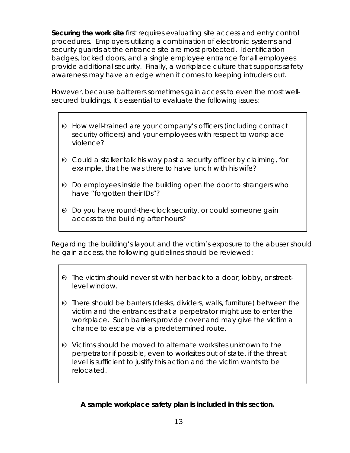**Securing the work site** first requires evaluating site access and entry control procedures. Employers utilizing a combination of electronic systems and security guards at the entrance site are most protected. Identification badges, locked doors, and a single employee entrance for all employees provide additional security. Finally, a workplace culture that supports safety awareness may have an edge when it comes to keeping intruders out.

However, because batterers sometimes gain access to even the most wellsecured buildings, it's essential to evaluate the following issues:

- Θ How well-trained are your company's officers (including contract security officers) and your employees with respect to workplace violence?
- Θ Could a stalker talk his way past a security officer by claiming, for example, that he was there to have lunch with his wife?
- Θ Do employees inside the building open the door to strangers who have "forgotten their IDs"?
- Θ Do you have round-the-clock security, or could someone gain access to the building after hours?

Regarding the building's layout and the victim's exposure to the abuser should he gain access, the following guidelines should be reviewed:

- Θ The victim should never sit with her back to a door, lobby, or streetlevel window.
- Θ There should be barriers (desks, dividers, walls, furniture) between the victim and the entrances that a perpetrator might use to enter the workplace. Such barriers provide cover and may give the victim a chance to escape via a predetermined route.
- Θ Victims should be moved to alternate worksites unknown to the perpetrator if possible, even to worksites out of state, if the threat level is sufficient to justify this action and the victim wants to be relocated.

 **A sample workplace safety plan is included in this section.**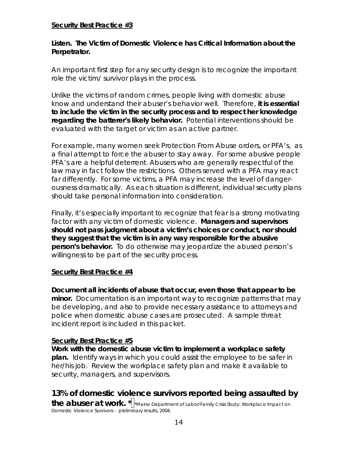### **Security Best Practice #3**

### **Listen. The Victim of Domestic Violence has Critical Information about the Perpetrator.**

An important first step for any security design is to recognize the important role the victim/ survivor plays in the process.

Unlike the victims of random crimes, people living with domestic abuse know and understand their abuser's behavior well. Therefore, **it is essential to include the victim in the security process and to respect her knowledge regarding the batterer's likely behavior.** Potential interventions should be evaluated with the target or victim as an active partner.

For example, many women seek Protection From Abuse orders, or PFA's, as a final attempt to force the abuser to stay away. For some abusive people PFA's are a helpful deterrent. Abusers who are generally respectful of the law may in fact follow the restrictions. Others served with a PFA may react far differently. For some victims, a PFA may increase the level of dangerousness dramatically. As each situation is different, individual security plans should take personal information into consideration.

Finally, it's especially important to recognize that fear is a strong motivating factor with any victim of domestic violence. **Managers and supervisors should not pass judgment about a victim's choices or conduct, nor should they suggest that the victim is in any way responsible for the abusive person's behavior.** To do otherwise may jeopardize the abused person's willingness to be part of the security process.

### **Security Best Practice #4**

**Document all incidents of abuse that occur, even those that appear to be minor.** Documentation is an important way to recognize patterns that may be developing, and also to provide necessary assistance to attorneys and police when domestic abuse cases are prosecuted. A sample threat incident report is included in this packet.

### **Security Best Practice #5**

**Work with the domestic abuse victim to implement a workplace safety plan.** Identify ways in which you could assist the employee to be safer in her/his job. Review the workplace safety plan and make it available to security, managers, and supervisors.

**13% of domestic violence survivors reported being assaulted by the abuser at work.**  $*$   $\parallel^*$  Maine Department of Labor/Family Crisis Study: Workplace Impact on Domestic Violence Survivors - preliminary results, 2004.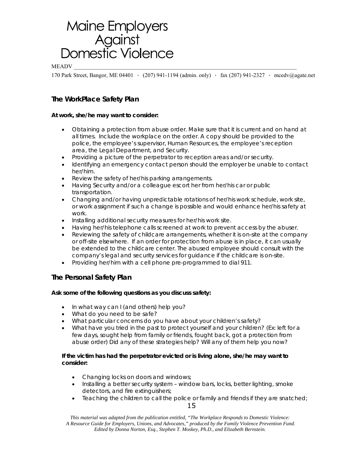# <span id="page-18-1"></span><span id="page-18-0"></span>Maine Employers<br>Against<br>Domestic Violence

 $\rm MEADV$   $\_$ 

170 Park Street, Bangor, ME 04401 · (207) 941-1194 (admin. only) · fax (207) 941-2327 · mcedv@agate.net

### **The WorkPlace Safety Plan**

### **At work, she/he may want to consider:**

- Obtaining a protection from abuse order. Make sure that it is current and on hand at all times. Include the workplace on the order. A copy should be provided to the police, the employee's supervisor, Human Resources, the employee's reception area, the Legal Department, and Security.
- Providing a picture of the perpetrator to reception areas and/or security.
- Identifying an emergency contact person should the employer be unable to contact her/him.
- Review the safety of her/his parking arrangements.
- Having Security and/or a colleague escort her from her/his car or public transportation.
- Changing and/or having unpredictable rotations of her/his work schedule, work site, or work assignment if such a change is possible and would enhance her/his safety at work.
- Installing additional security measures for her/his work site.
- Having her/his telephone calls screened at work to prevent access by the abuser.
- Reviewing the safety of childcare arrangements, whether it is on-site at the company or off-site elsewhere. If an order for protection from abuse is in place, it can usually be extended to the childcare center. The abused employee should consult with the company's legal and security services for guidance if the childcare is on-site.
- Providing her/him with a cell phone pre-programmed to dial 911.

### **The Personal Safety Plan**

### **Ask some of the following questions as you discuss safety:**

- In what way can I (and others) help you?
- What do you need to be safe?
- What particular concerns do you have about your children's safety?
- What have you tried in the past to protect yourself and your children? (Ex: left for a few days, sought help from family or friends, fought back, got a protection from abuse order) Did any of these strategies help? Will any of them help you now?

### **If the victim has had the perpetrator evicted or is living alone, she/he may want to consider:**

- Changing locks on doors and windows;
- Installing a better security system window bars, locks, better lighting, smoke detectors, and fire extinguishers;
- Teaching the children to call the police or family and friends if they are snatched;

15

*This material was adapted from the publication entitled, "The Workplace Responds to Domestic Violence: A Resource Guide for Employers, Unions, and Advocates," produced by the Family Violence Prevention Fund. Edited by Donna Norton, Esq., Stephen T. Moskey, Ph.D., and Elizabeth Bernstein.*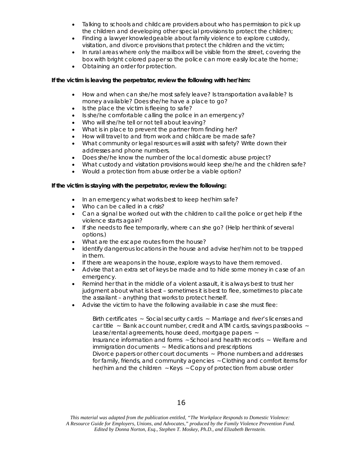- Talking to schools and childcare providers about who has permission to pick up the children and developing other special provisions to protect the children;
- Finding a lawyer knowledgeable about family violence to explore custody, visitation, and divorce provisions that protect the children and the victim;
- In rural areas where only the mailbox will be visible from the street, covering the box with bright colored paper so the police can more easily locate the home;
- Obtaining an order for protection.

### **If the victim is leaving the perpetrator, review the following with her/him:**

- How and when can she/he most safely leave? Is transportation available? Is money available? Does she/he have a place to go?
- Is the place the victim is fleeing to safe?
- Is she/he comfortable calling the police in an emergency?
- Who will she/he tell or not tell about leaving?
- What is in place to prevent the partner from finding her?
- How will travel to and from work and childcare be made safe?
- What community or legal resources will assist with safety? Write down their addresses and phone numbers.
- Does she/he know the number of the local domestic abuse project?
- What custody and visitation provisions would keep she/he and the children safe?
- Would a protection from abuse order be a viable option?

### **If the victim is staying with the perpetrator, review the following:**

- In an emergency what works best to keep her/him safe?
- Who can be called in a crisis?
- Can a signal be worked out with the children to call the police or get help if the violence starts again?
- If she needs to flee temporarily, where can she go? (Help her think of several options.)
- What are the escape routes from the house?
- Identify dangerous locations in the house and advise her/him not to be trapped in them.
- If there are weapons in the house, explore ways to have them removed.
- Advise that an extra set of keys be made and to hide some money in case of an emergency.
- Remind her that in the middle of a violent assault, it is always best to trust her judgment about what is best – sometimes it is best to flee, sometimes to placate the assailant – anything that works to protect herself.
- Advise the victim to have the following available in case she must flee:

Birth certificates ~ Social security cards ~ Marriage and river's licenses and car title ~ Bank account number, credit and ATM cards, savings passbooks ~ Lease/rental agreements, house deed, mortgage papers ~ Insurance information and forms ~ School and health records ~ Welfare and immigration documents ~ Medications and prescriptions Divorce papers or other court documents ~ Phone numbers and addresses for family, friends, and community agencies ~ Clothing and comfort items for her/him and the children ~ Keys ~ Copy of protection from abuse order

*This material was adapted from the publication entitled, "The Workplace Responds to Domestic Violence: A Resource Guide for Employers, Unions, and Advocates," produced by the Family Violence Prevention Fund. Edited by Donna Norton, Esq., Stephen T. Moskey, Ph.D., and Elizabeth Bernstein.*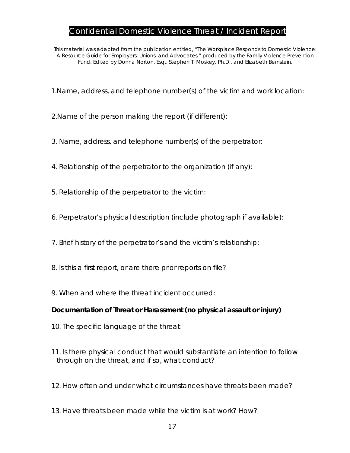### Confidential Domestic Violence Threat / Incident Report

<span id="page-20-0"></span>*This material was adapted from the publication entitled, "The Workplace Responds to Domestic Violence: A Resource Guide for Employers, Unions, and Advocates," produced by the Family Violence Prevention Fund. Edited by Donna Norton, Esq., Stephen T. Moskey, Ph.D., and Elizabeth Bernstein.* 

1.Name, address, and telephone number(s) of the victim and work location:

2.Name of the person making the report (if different):

- 3. Name, address, and telephone number(s) of the perpetrator:
- 4. Relationship of the perpetrator to the organization (if any):
- 5. Relationship of the perpetrator to the victim:
- 6. Perpetrator's physical description (include photograph if available):
- 7. Brief history of the perpetrator's and the victim's relationship:
- 8. Is this a first report, or are there prior reports on file?
- 9. When and where the threat incident occurred:

### **Documentation of Threat or Harassment (no physical assault or injury)**

- 10. The specific language of the threat:
- 11. Is there physical conduct that would substantiate an intention to follow through on the threat, and if so, what conduct?
- 12. How often and under what circumstances have threats been made?
- 13. Have threats been made while the victim is at work? How?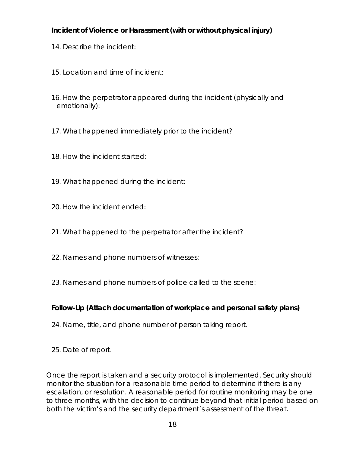### **Incident of Violence or Harassment (with or without physical injury)**

- 14. Describe the incident:
- 15. Location and time of incident:
- 16. How the perpetrator appeared during the incident (physically and emotionally):
- 17. What happened immediately prior to the incident?
- 18. How the incident started:
- 19. What happened during the incident:
- 20. How the incident ended:
- 21. What happened to the perpetrator after the incident?
- 22. Names and phone numbers of witnesses:
- 23. Names and phone numbers of police called to the scene:

### **Follow-Up (Attach documentation of workplace and personal safety plans)**

- 24. Name, title, and phone number of person taking report.
- 25. Date of report.

Once the report is taken and a security protocol is implemented, Security should monitor the situation for a reasonable time period to determine if there is any escalation, or resolution. A reasonable period for routine monitoring may be one to three months, with the decision to continue beyond that initial period based on both the victim's and the security department's assessment of the threat.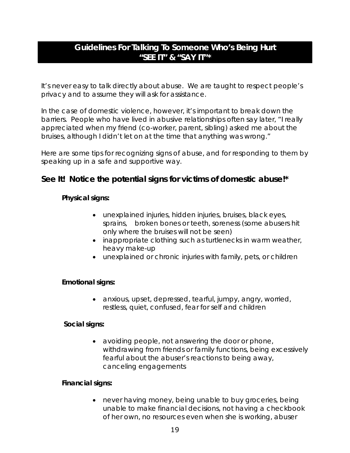### <span id="page-22-0"></span>**Guidelines For Talking To Someone Who's Being Hurt**  *"SEE IT" & "SAY IT"\**

It's never easy to talk directly about abuse. We are taught to respect people's privacy and to assume they will ask for assistance.

In the case of domestic violence, however, it's important to break down the barriers. People who have lived in abusive relationships often say later, "I really appreciated when my friend (co-worker, parent, sibling) asked me about the bruises, although I didn't let on at the time that anything was wrong."

Here are some tips for recognizing signs of abuse, and for responding to them by speaking up in a safe and supportive way.

### **See It! Notice the potential signs for victims of domestic abuse!\***

### **Physical signs:**

- unexplained injuries, hidden injuries, bruises, black eyes, sprains, broken bones or teeth, soreness (some abusers hit only where the bruises will not be seen)
- inappropriate clothing such as turtlenecks in warm weather, heavy make-up
- unexplained or chronic injuries with family, pets, or children

### **Emotional signs:**

• anxious, upset, depressed, tearful, jumpy, angry, worried, restless, quiet, confused, fear for self and children

### **Social signs:**

• avoiding people, not answering the door or phone, withdrawing from friends or family functions, being excessively fearful about the abuser's reactions to being away, canceling engagements

### **Financial signs:**

• never having money, being unable to buy groceries, being unable to make financial decisions, not having a checkbook of her own, no resources even when she is working, abuser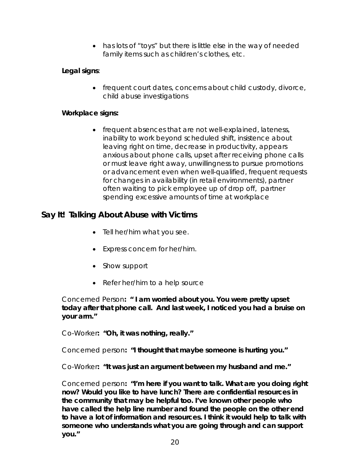• has lots of "toys" but there is little else in the way of needed family items such as children's clothes, etc.

### **Legal signs**:

• frequent court dates, concerns about child custody, divorce, child abuse investigations

### **Workplace signs:**

• frequent absences that are not well-explained, lateness, inability to work beyond scheduled shift, insistence about leaving right on time, decrease in productivity, appears anxious about phone calls, upset after receiving phone calls or must leave right away, unwillingness to pursue promotions or advancement even when well-qualified, frequent requests for changes in availability (in retail environments), partner often waiting to pick employee up of drop off, partner spending excessive amounts of time at workplace

### **Say It! Talking About Abuse with Victims**

- Tell her/him what you see.
- Express concern for her/him.
- Show support
- Refer her/him to a help source

Concerned Person**: " I am worried about you. You were pretty upset today after that phone call. And last week, I noticed you had a bruise on your arm."** 

Co-Worker**: "Oh, it was nothing, really."** 

Concerned person**: "I thought that maybe someone is hurting you."** 

Co-Worker**: "It was just an argument between my husband and me."** 

Concerned person**: "I'm here if you want to talk. What are you doing right now? Would you like to have lunch? There are confidential resources in the community that may be helpful too. I've known other people who have called the help line number and found the people on the other end to have a lot of information and resources. I think it would help to talk with someone who understands what you are going through and can support you."**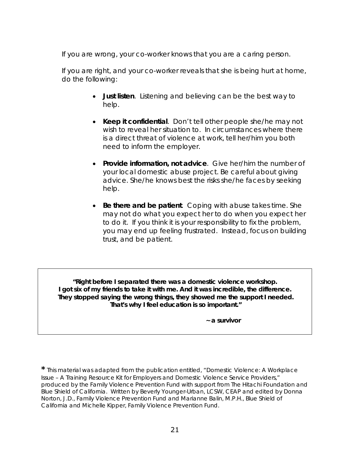If you are wrong, your co-worker knows that you are a caring person.

If you are right, and your co-worker reveals that she is being hurt at home, do the following:

- **Just listen**. Listening and believing can be the best way to help.
- **Keep it confidential**. Don't tell other people she/he may not wish to reveal her situation to. In circumstances where there is a direct threat of violence at work, tell her/him you both need to inform the employer.
- **Provide information, not advice**. Give her/him the number of your local domestic abuse project. Be careful about giving advice. She/he knows best the risks she/he faces by seeking help.
- **Be there and be patient**. Coping with abuse takes time. She may not do what you expect her to do when you expect her to do it. If you think it is your responsibility to fix the problem, you may end up feeling frustrated. Instead, focus on building trust, and be patient.

*"Right before I separated there was a domestic violence workshop. I got six of my friends to take it with me. And it was incredible, the difference. They stopped saying the wrong things, they showed me the support I needed. That's why I feel education is so important."* 

 **~** *a survivor* 

**\*** This material was adapted from the publication entitled, "Domestic Violence: A Workplace Issue – A Training Resource Kit for Employers and Domestic Violence Service Providers," produced by the Family Violence Prevention Fund with support from The Hitachi Foundation and Blue Shield of California. Written by Beverly Younger-Urban, LCSW, CEAP and edited by Donna Norton, J.D., Family Violence Prevention Fund and Marianne Balin, M.P.H., Blue Shield of California and Michelle Kipper, Family Violence Prevention Fund.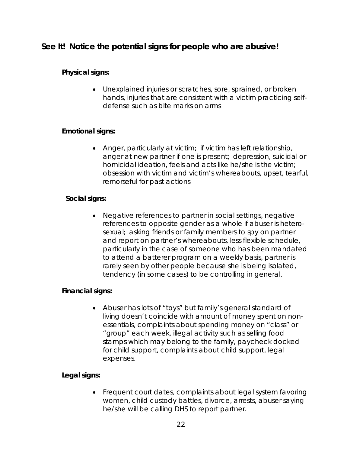### <span id="page-25-0"></span>**See It! Notice the potential signs for people who are abusive!**

### **Physical signs:**

• Unexplained injuries or scratches, sore, sprained, or broken hands, injuries that are consistent with a victim practicing selfdefense such as bite marks on arms

### **Emotional signs:**

• Anger, particularly at victim; if victim has left relationship, anger at new partner if one is present; depression, suicidal or homicidal ideation, feels and acts like he/she is the victim; obsession with victim and victim's whereabouts, upset, tearful, remorseful for past actions

### **Social signs:**

• Negative references to partner in social settings, negative references to opposite gender as a whole if abuser is heterosexual; asking friends or family members to spy on partner and report on partner's whereabouts, less flexible schedule, particularly in the case of someone who has been mandated to attend a batterer program on a weekly basis, partner is rarely seen by other people because she is being isolated, tendency (in some cases) to be controlling in general.

### **Financial signs:**

• Abuser has lots of "toys" but family's general standard of living doesn't coincide with amount of money spent on nonessentials, complaints about spending money on "class" or "group" each week, illegal activity such as selling food stamps which may belong to the family, paycheck docked for child support, complaints about child support, legal expenses.

### **Legal signs:**

• Frequent court dates, complaints about legal system favoring women, child custody battles, divorce, arrests, abuser saying he/she will be calling DHS to report partner.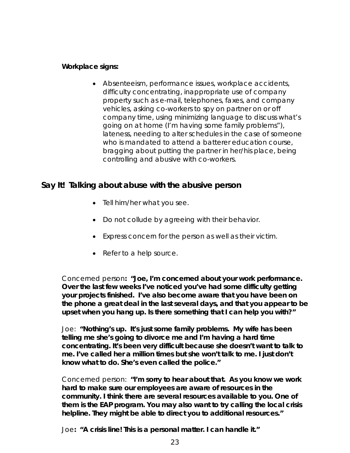### **Workplace signs:**

• Absenteeism, performance issues, workplace accidents, difficulty concentrating, inappropriate use of company property such as e-mail, telephones, faxes, and company vehicles, asking co-workers to spy on partner on or off company time, using minimizing language to discuss what's going on at home (I'm having some family problems"), lateness, needing to alter schedules in the case of someone who is mandated to attend a batterer education course, bragging about putting the partner in her/his place, being controlling and abusive with co-workers.

### **Say It! Talking about abuse with the abusive person**

- Tell him/her what you see.
- Do not collude by agreeing with their behavior.
- Express concern for the person as well as their victim.
- Refer to a help source.

Concerned person**: "Joe, I'm concerned about your work performance. Over the last few weeks I've noticed you've had some difficulty getting your projects finished. I've also become aware that you have been on the phone a great deal in the last several days, and that you appear to be upset when you hang up. Is there something that I can help you with?"** 

Joe: **"Nothing's up. It's just some family problems. My wife has been telling me she's going to divorce me and I'm having a hard time concentrating. It's been very difficult because she doesn't want to talk to me. I've called her a million times but she won't talk to me. I just don't know what to do. She's even called the police."** 

Concerned person: **"I'm sorry to hear about that. As you know we work hard to make sure our employees are aware of resources in the community. I think there are several resources available to you. One of them is the EAP program. You may also want to try calling the local crisis helpline. They might be able to direct you to additional resources."** 

Joe**: "A crisis line! This is a personal matter. I can handle it."**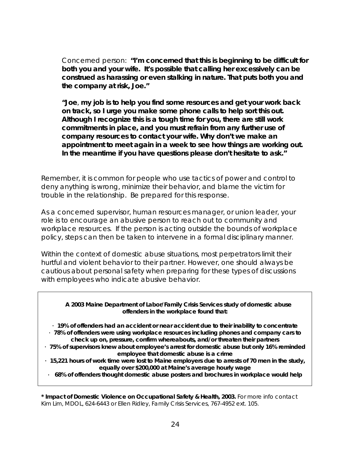Concerned person: **"I'm concerned that this is beginning to be difficult for both you and your wife. It's possible that calling her excessively can be construed as harassing or even stalking in nature. That puts both you and the company at risk, Joe."** 

**"Joe**, **my job is to help you find some resources and get your work back on track, so I urge you make some phone calls to help sort this out. Although I recognize this is a tough time for you, there are still work commitments in place, and you must refrain from any further use of company resources to contact your wife. Why don't we make an appointment to meet again in a week to see how things are working out. In the meantime if you have questions please don't hesitate to ask."** 

Remember, it is common for people who use tactics of power and control to deny anything is wrong, minimize their behavior, and blame the victim for trouble in the relationship. Be prepared for this response.

As a concerned supervisor, human resources manager, or union leader, your role is to encourage an abusive person to reach out to community and workplace resources. If the person is acting outside the bounds of workplace policy, steps can then be taken to intervene in a formal disciplinary manner.

Within the context of domestic abuse situations, most perpetrators limit their hurtful and violent behavior to their partner. However, one should always be cautious about personal safety when preparing for these types of discussions with employees who indicate abusive behavior.

**A 2003 Maine Department of Labor/Family Crisis Services study of domestic abuse offenders in the workplace found that:** 

- · **19% of offenders had an accident or near accident due to their inability to concentrate** · **78% of offenders were using workplace resources including phones and company cars to**
- **check up on, pressure, confirm whereabouts, and/or threaten their partners**  · **75% of supervisors knew about employee's arrest for domestic abuse but only 16% reminded employee that domestic abuse is a crime**
- · **15,221 hours of work time were lost to Maine employers due to arrests of 70 men in the study, equally over \$200,000 at Maine's average hourly wage**
- · **68% of offenders thought domestic abuse posters and brochures in workplace would help**

**\*** *Impact of Domestic Violence on Occupational Safety & Health, 2003***.** For more info contact Kim Lim, MDOL, 624-6443 or Ellen Ridley, Family Crisis Services, 767-4952 ext. 105.